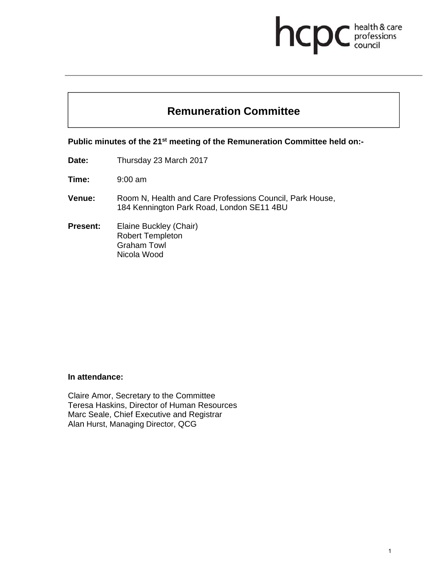# health & care hcpo professions<br>council

## **Remuneration Committee**

**Public minutes of the 21st meeting of the Remuneration Committee held on:-** 

**Date:** Thursday 23 March 2017

**Time:** 9:00 am

**Venue:** Room N, Health and Care Professions Council, Park House, 184 Kennington Park Road, London SE11 4BU

**Present:** Elaine Buckley (Chair) Robert Templeton Graham Towl Nicola Wood

#### **In attendance:**

Claire Amor, Secretary to the Committee Teresa Haskins, Director of Human Resources Marc Seale, Chief Executive and Registrar Alan Hurst, Managing Director, QCG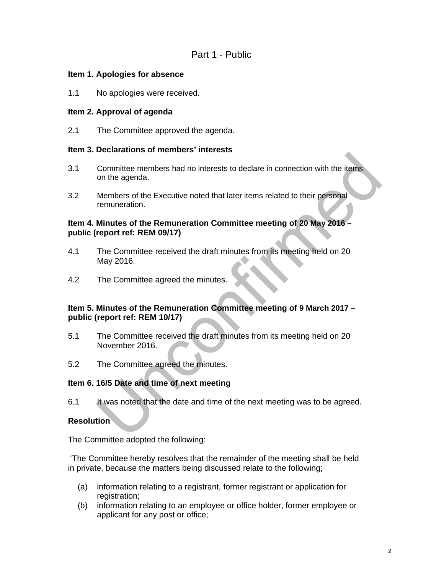#### **Item 1. Apologies for absence**

1.1 No apologies were received.

### **Item 2. Approval of agenda**

2.1 The Committee approved the agenda.

#### **Item 3. Declarations of members' interests**

- 3.1 Committee members had no interests to declare in connection with the items on the agenda.
- 3.2 Members of the Executive noted that later items related to their personal remuneration.

#### **Item 4. Minutes of the Remuneration Committee meeting of 20 May 2016 – public (report ref: REM 09/17)**

- 4.1 The Committee received the draft minutes from its meeting held on 20 May 2016.
- 4.2 The Committee agreed the minutes.

#### **Item 5. Minutes of the Remuneration Committee meeting of 9 March 2017 – public (report ref: REM 10/17)**

- 5.1 The Committee received the draft minutes from its meeting held on 20 November 2016.
- 5.2 The Committee agreed the minutes.

#### **Item 6. 16/5 Date and time of next meeting**

6.1 It was noted that the date and time of the next meeting was to be agreed.

#### **Resolution**

The Committee adopted the following:

 'The Committee hereby resolves that the remainder of the meeting shall be held in private, because the matters being discussed relate to the following;

- (a) information relating to a registrant, former registrant or application for registration:
- (b) information relating to an employee or office holder, former employee or applicant for any post or office;